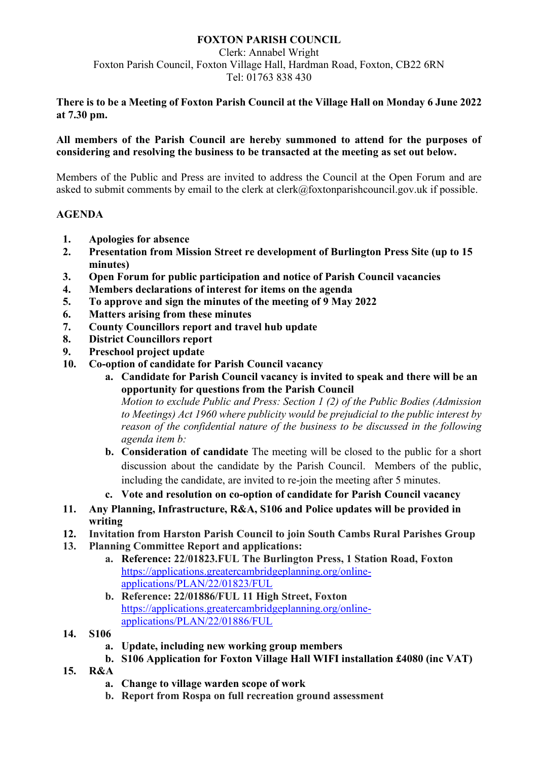## **FOXTON PARISH COUNCIL**

Clerk: Annabel Wright Foxton Parish Council, Foxton Village Hall, Hardman Road, Foxton, CB22 6RN Tel: 01763 838 430

#### **There is to be a Meeting of Foxton Parish Council at the Village Hall on Monday 6 June 2022 at 7.30 pm.**

## **All members of the Parish Council are hereby summoned to attend for the purposes of considering and resolving the business to be transacted at the meeting as set out below.**

Members of the Public and Press are invited to address the Council at the Open Forum and are asked to submit comments by email to the clerk at clerk@foxtonparishcouncil.gov.uk if possible.

## **AGENDA**

- **1. Apologies for absence**
- **2. Presentation from Mission Street re development of Burlington Press Site (up to 15 minutes)**
- **3. Open Forum for public participation and notice of Parish Council vacancies**
- **4. Members declarations of interest for items on the agenda**
- **5. To approve and sign the minutes of the meeting of 9 May 2022**
- **6. Matters arising from these minutes**
- **7. County Councillors report and travel hub update**
- **8. District Councillors report**
- **9. Preschool project update**
- **10. Co-option of candidate for Parish Council vacancy**
	- **a. Candidate for Parish Council vacancy is invited to speak and there will be an opportunity for questions from the Parish Council**

*Motion to exclude Public and Press: Section 1 (2) of the Public Bodies (Admission to Meetings) Act 1960 where publicity would be prejudicial to the public interest by reason of the confidential nature of the business to be discussed in the following agenda item b:*

- **b. Consideration of candidate** The meeting will be closed to the public for a short discussion about the candidate by the Parish Council. Members of the public, including the candidate, are invited to re-join the meeting after 5 minutes.
- **c. Vote and resolution on co-option of candidate for Parish Council vacancy**
- **11. Any Planning, Infrastructure, R&A, S106 and Police updates will be provided in writing**
- **12. Invitation from Harston Parish Council to join South Cambs Rural Parishes Group**
- **13. Planning Committee Report and applications:** 
	- **a. Reference: 22/01823.FUL The Burlington Press, 1 Station Road, Foxton** [https://applications.greatercambridgeplanning.org/online](https://applications.greatercambridgeplanning.org/online-applications/PLAN/22/01823/FUL)[applications/PLAN/22/01823/FUL](https://applications.greatercambridgeplanning.org/online-applications/PLAN/22/01823/FUL)
	- **b. Reference: 22/01886/FUL 11 High Street, Foxton** [https://applications.greatercambridgeplanning.org/online](https://applications.greatercambridgeplanning.org/online-applications/PLAN/22/01886/FUL)[applications/PLAN/22/01886/FUL](https://applications.greatercambridgeplanning.org/online-applications/PLAN/22/01886/FUL)
- **14. S106** 
	- **a. Update, including new working group members**
	- **b. S106 Application for Foxton Village Hall WIFI installation £4080 (inc VAT)**
- **15. R&A** 
	- **a. Change to village warden scope of work**
	- **b. Report from Rospa on full recreation ground assessment**